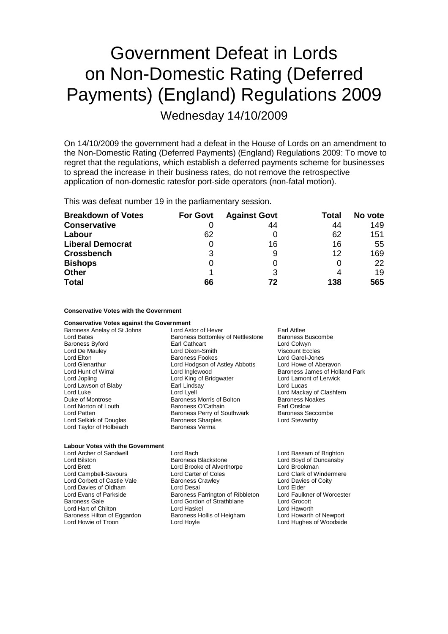## Government Defeat in Lords on Non-Domestic Rating (Deferred Payments) (England) Regulations 2009

Wednesday 14/10/2009

On 14/10/2009 the government had a defeat in the House of Lords on an amendment to the Non-Domestic Rating (Deferred Payments) (England) Regulations 2009: To move to regret that the regulations, which establish a deferred payments scheme for businesses to spread the increase in their business rates, do not remove the retrospective application of non-domestic ratesfor port-side operators (non-fatal motion).

This was defeat number 19 in the parliamentary session.

| <b>Breakdown of Votes</b> | <b>For Govt</b> | <b>Against Govt</b> | Total | No vote |
|---------------------------|-----------------|---------------------|-------|---------|
| <b>Conservative</b>       |                 | 44                  | 44    | 149     |
| Labour                    | 62              |                     | 62    | 151     |
| <b>Liberal Democrat</b>   | 0               | 16                  | 16    | 55      |
| <b>Crossbench</b>         | 3               | 9                   | 12    | 169     |
| <b>Bishops</b>            | O               | 0                   |       | 22      |
| <b>Other</b>              |                 | 3                   |       | 19      |
| <b>Total</b>              | 66              | 72                  | 138   | 565     |

## **Conservative Votes with the Government**

**Conservative Votes against the Government**<br>Baroness Anelay of St Johns Lord Astor of Hever Baroness Anelay of St Johns Lord Astor of Hever Farl Attlee<br>
Lord Bates Fuscombe Baroness Bottomley of Nettlestone Baroness Buscombe Lord Bates **Baroness Bottomley of Nettlestone** Baroness Bottomley of Nettlestone Baroness Byford **Earl Cathcart** Earl Cathcart Colwyn<br>
Lord De Mauley **Lord Colwyn Lord Dixon-Smith** Viscount Eccles Lord Dixon-Smith Lord Elton Baroness Fookes Lord Garel-Jones Lord Glenarthur Lord Hodgson of Astley Abbotts Lord Howe of Aberavon Lord Hunt of Wirral **Lord Inglewood** Cord Inglewood Baroness James of Holland Park<br>
Lord Jopling **Baroness** Lord King of Bridgwater Lord Let Lord Lamont of Lerwick Lord King of Bridgwater<br>Earl Lindsay Lord Lawson of Blaby **Earl Lindsay** Early Cord Lucas Lord Luke Lord Lord Lyell Lord Lord Lord Lord Lord Lord Mackay of Clashfern<br>
Duke of Montrose Class Baroness Morris of Bolton Baroness Noakes Duke of Montrose **Baroness Montrose** Baroness Morris of Bolton Baroness Noakes<br>
Baroness D'Cathain Baroness O'Cathain **Baroness** Communication Baroness Noakes Baroness O'Cathain Lord Patten **Baroness Perry of Southwark** Baroness Seccombe Lord Selkirk of Douglas **Baroness Sharples** Cord Stewartby<br>
Lord Taylor of Holbeach **Baroness** Verma Lord Taylor of Holbeach

| <b>Labour Votes with the Government</b> |                                             |                            |
|-----------------------------------------|---------------------------------------------|----------------------------|
| Lord Archer of Sandwell                 | Lord Bach                                   | Lord Bassam of Brighton    |
| Lord Bilston                            | <b>Baroness Blackstone</b>                  | Lord Boyd of Duncansby     |
| Lord Brett                              | Lord Brookman<br>Lord Brooke of Alverthorpe |                            |
| Lord Campbell-Savours                   | Lord Carter of Coles                        | Lord Clark of Windermere   |
| Lord Corbett of Castle Vale             | <b>Baroness Crawley</b>                     | Lord Davies of Coity       |
| Lord Davies of Oldham                   | Lord Desai                                  | Lord Elder                 |
| Lord Evans of Parkside                  | Baroness Farrington of Ribbleton            | Lord Faulkner of Worcester |
| Baroness Gale                           | Lord Gordon of Strathblane                  | Lord Grocott               |
| Lord Hart of Chilton                    | Lord Haskel                                 | Lord Haworth               |
| Baroness Hilton of Eggardon             | Baroness Hollis of Heigham                  | Lord Howarth of Newport    |
| Lord Howie of Troon                     | Lord Hoyle                                  | Lord Hughes of Woodside    |
|                                         |                                             |                            |